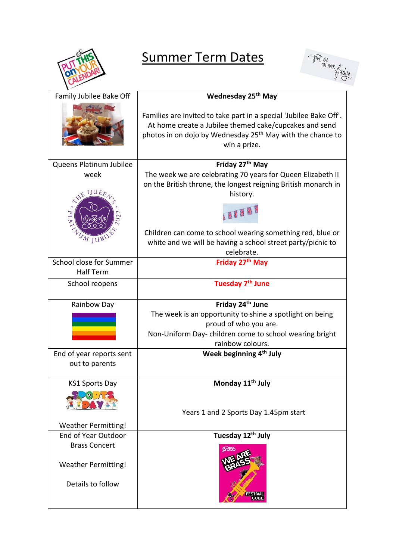

## Summer Term Dates



| Family Jubilee Bake Off                            | Wednesday 25 <sup>th</sup> May                                                                                                                                                                                         |
|----------------------------------------------------|------------------------------------------------------------------------------------------------------------------------------------------------------------------------------------------------------------------------|
|                                                    | Families are invited to take part in a special 'Jubilee Bake Off'.<br>At home create a Jubilee themed cake/cupcakes and send<br>photos in on dojo by Wednesday 25 <sup>th</sup> May with the chance to<br>win a prize. |
| Queens Platinum Jubilee                            | Friday 27 <sup>th</sup> May                                                                                                                                                                                            |
| week<br>$\overline{\mathrm{QUE}_{\mathcal{E}}}$    | The week we are celebrating 70 years for Queen Elizabeth II<br>on the British throne, the longest reigning British monarch in<br>history.                                                                              |
|                                                    | 张雅乐                                                                                                                                                                                                                    |
| $M$ JUB                                            | Children can come to school wearing something red, blue or<br>white and we will be having a school street party/picnic to<br>celebrate.                                                                                |
| School close for Summer<br><b>Half Term</b>        | Friday 27 <sup>th</sup> May                                                                                                                                                                                            |
| School reopens                                     | Tuesday 7 <sup>th</sup> June                                                                                                                                                                                           |
| Rainbow Day                                        | Friday 24 <sup>th</sup> June                                                                                                                                                                                           |
|                                                    | The week is an opportunity to shine a spotlight on being                                                                                                                                                               |
|                                                    | proud of who you are.                                                                                                                                                                                                  |
|                                                    | Non-Uniform Day-children come to school wearing bright                                                                                                                                                                 |
|                                                    | rainbow colours.                                                                                                                                                                                                       |
| End of year reports sent<br>out to parents         | Week beginning 4 <sup>th</sup> July                                                                                                                                                                                    |
| <b>KS1 Sports Day</b>                              | Monday 11 <sup>th</sup> July                                                                                                                                                                                           |
|                                                    |                                                                                                                                                                                                                        |
|                                                    | Years 1 and 2 Sports Day 1.45pm start                                                                                                                                                                                  |
| <b>Weather Permitting!</b>                         |                                                                                                                                                                                                                        |
| <b>End of Year Outdoor</b>                         | Tuesday 12 <sup>th</sup> July                                                                                                                                                                                          |
| <b>Brass Concert</b><br><b>Weather Permitting!</b> |                                                                                                                                                                                                                        |
| Details to follow                                  |                                                                                                                                                                                                                        |